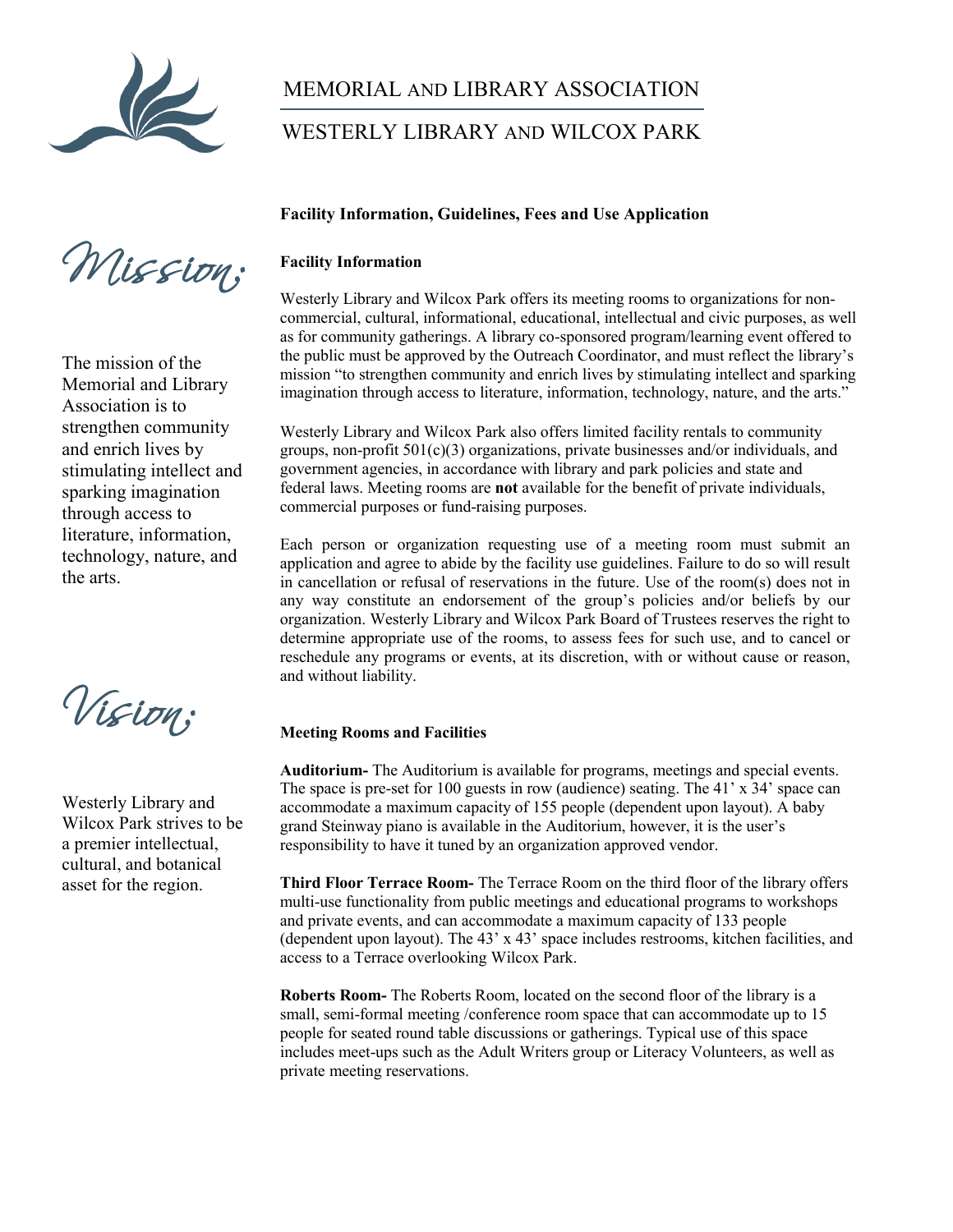

# Mission:

The mission of the Memorial and Library Association is to strengthen community and enrich lives by stimulating intellect and sparking imagination through access to literature, information, technology, nature, and the arts.

Vision:

Westerly Library and Wilcox Park strives to be a premier intellectual, cultural, and botanical asset for the region.

## MEMORIAL AND LIBRARY ASSOCIATION WESTERLY LIBRARY AND WILCOX PARK

#### **Facility Information, Guidelines, Fees and Use Application**

#### **Facility Information**

Westerly Library and Wilcox Park offers its meeting rooms to organizations for noncommercial, cultural, informational, educational, intellectual and civic purposes, as well as for community gatherings. A library co-sponsored program/learning event offered to the public must be approved by the Outreach Coordinator, and must reflect the library's mission "to strengthen community and enrich lives by stimulating intellect and sparking imagination through access to literature, information, technology, nature, and the arts."

Westerly Library and Wilcox Park also offers limited facility rentals to community groups, non-profit 501(c)(3) organizations, private businesses and/or individuals, and government agencies, in accordance with library and park policies and state and federal laws. Meeting rooms are **not** available for the benefit of private individuals, commercial purposes or fund-raising purposes.

Each person or organization requesting use of a meeting room must submit an application and agree to abide by the facility use guidelines. Failure to do so will result in cancellation or refusal of reservations in the future. Use of the room(s) does not in any way constitute an endorsement of the group's policies and/or beliefs by our organization. Westerly Library and Wilcox Park Board of Trustees reserves the right to determine appropriate use of the rooms, to assess fees for such use, and to cancel or reschedule any programs or events, at its discretion, with or without cause or reason, and without liability.

#### **Meeting Rooms and Facilities**

**Auditorium-** The Auditorium is available for programs, meetings and special events. The space is pre-set for 100 guests in row (audience) seating. The 41' x 34' space can accommodate a maximum capacity of 155 people (dependent upon layout). A baby grand Steinway piano is available in the Auditorium, however, it is the user's responsibility to have it tuned by an organization approved vendor.

**Third Floor Terrace Room-** The Terrace Room on the third floor of the library offers multi-use functionality from public meetings and educational programs to workshops and private events, and can accommodate a maximum capacity of 133 people (dependent upon layout). The 43' x 43' space includes restrooms, kitchen facilities, and access to a Terrace overlooking Wilcox Park.

**Roberts Room-** The Roberts Room, located on the second floor of the library is a small, semi-formal meeting /conference room space that can accommodate up to 15 people for seated round table discussions or gatherings. Typical use of this space includes meet-ups such as the Adult Writers group or Literacy Volunteers, as well as private meeting reservations.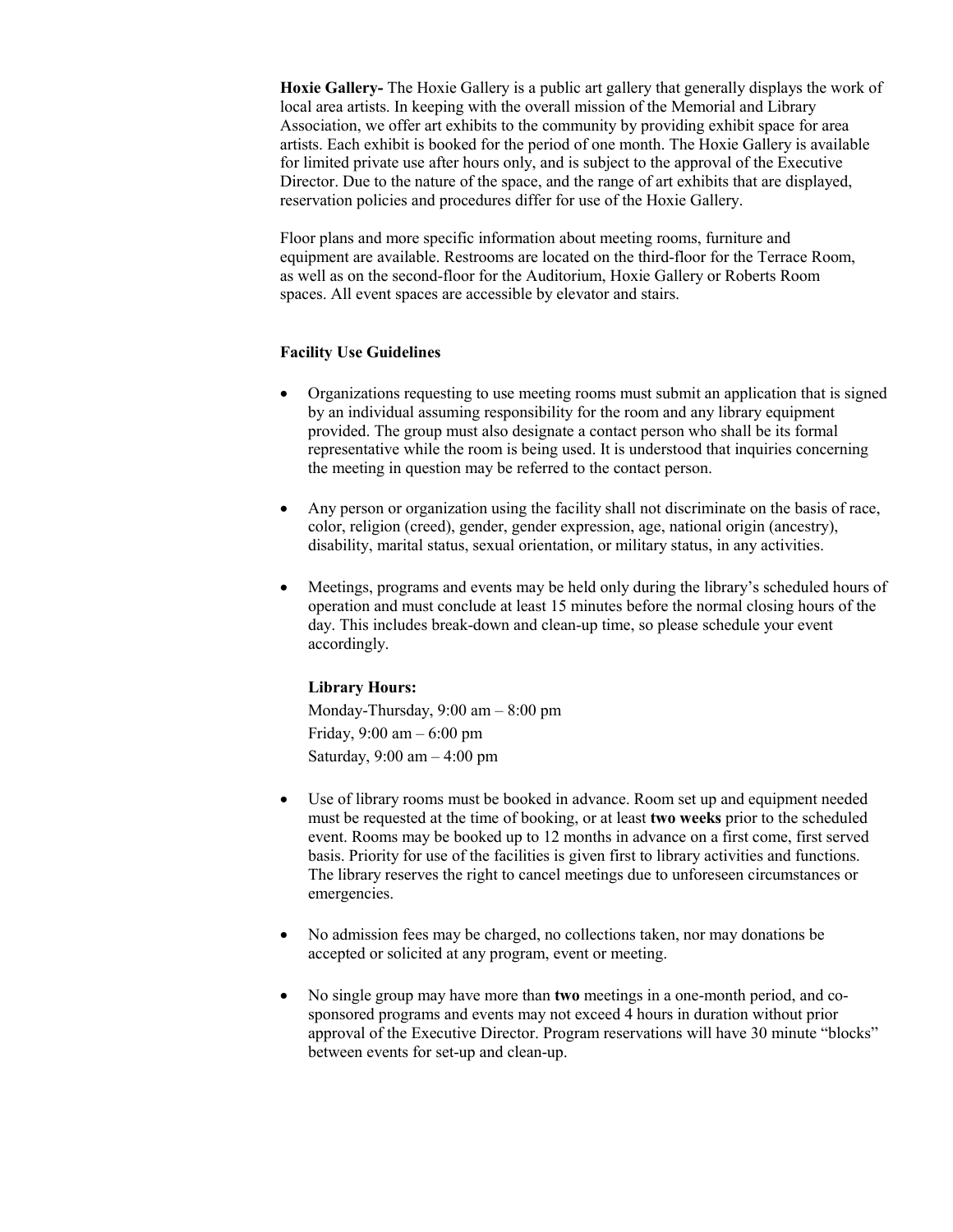**Hoxie Gallery-** The Hoxie Gallery is a public art gallery that generally displays the work of local area artists. In keeping with the overall mission of the Memorial and Library Association, we offer art exhibits to the community by providing exhibit space for area artists. Each exhibit is booked for the period of one month. The Hoxie Gallery is available for limited private use after hours only, and is subject to the approval of the Executive Director. Due to the nature of the space, and the range of art exhibits that are displayed, reservation policies and procedures differ for use of the Hoxie Gallery.

Floor plans and more specific information about meeting rooms, furniture and equipment are available. Restrooms are located on the third-floor for the Terrace Room, as well as on the second-floor for the Auditorium, Hoxie Gallery or Roberts Room spaces. All event spaces are accessible by elevator and stairs.

#### **Facility Use Guidelines**

- Organizations requesting to use meeting rooms must submit an application that is signed by an individual assuming responsibility for the room and any library equipment provided. The group must also designate a contact person who shall be its formal representative while the room is being used. It is understood that inquiries concerning the meeting in question may be referred to the contact person.
- Any person or organization using the facility shall not discriminate on the basis of race, color, religion (creed), gender, gender expression, age, national origin (ancestry), disability, marital status, sexual orientation, or military status, in any activities.
- Meetings, programs and events may be held only during the library's scheduled hours of operation and must conclude at least 15 minutes before the normal closing hours of the day. This includes break-down and clean-up time, so please schedule your event accordingly.

#### **Library Hours:**

Monday-Thursday, 9:00 am – 8:00 pm Friday, 9:00 am – 6:00 pm Saturday, 9:00 am – 4:00 pm

- Use of library rooms must be booked in advance. Room set up and equipment needed must be requested at the time of booking, or at least **two weeks** prior to the scheduled event. Rooms may be booked up to 12 months in advance on a first come, first served basis. Priority for use of the facilities is given first to library activities and functions. The library reserves the right to cancel meetings due to unforeseen circumstances or emergencies.
- No admission fees may be charged, no collections taken, nor may donations be accepted or solicited at any program, event or meeting.
- No single group may have more than **two** meetings in a one-month period, and cosponsored programs and events may not exceed 4 hours in duration without prior approval of the Executive Director. Program reservations will have 30 minute "blocks" between events for set-up and clean-up.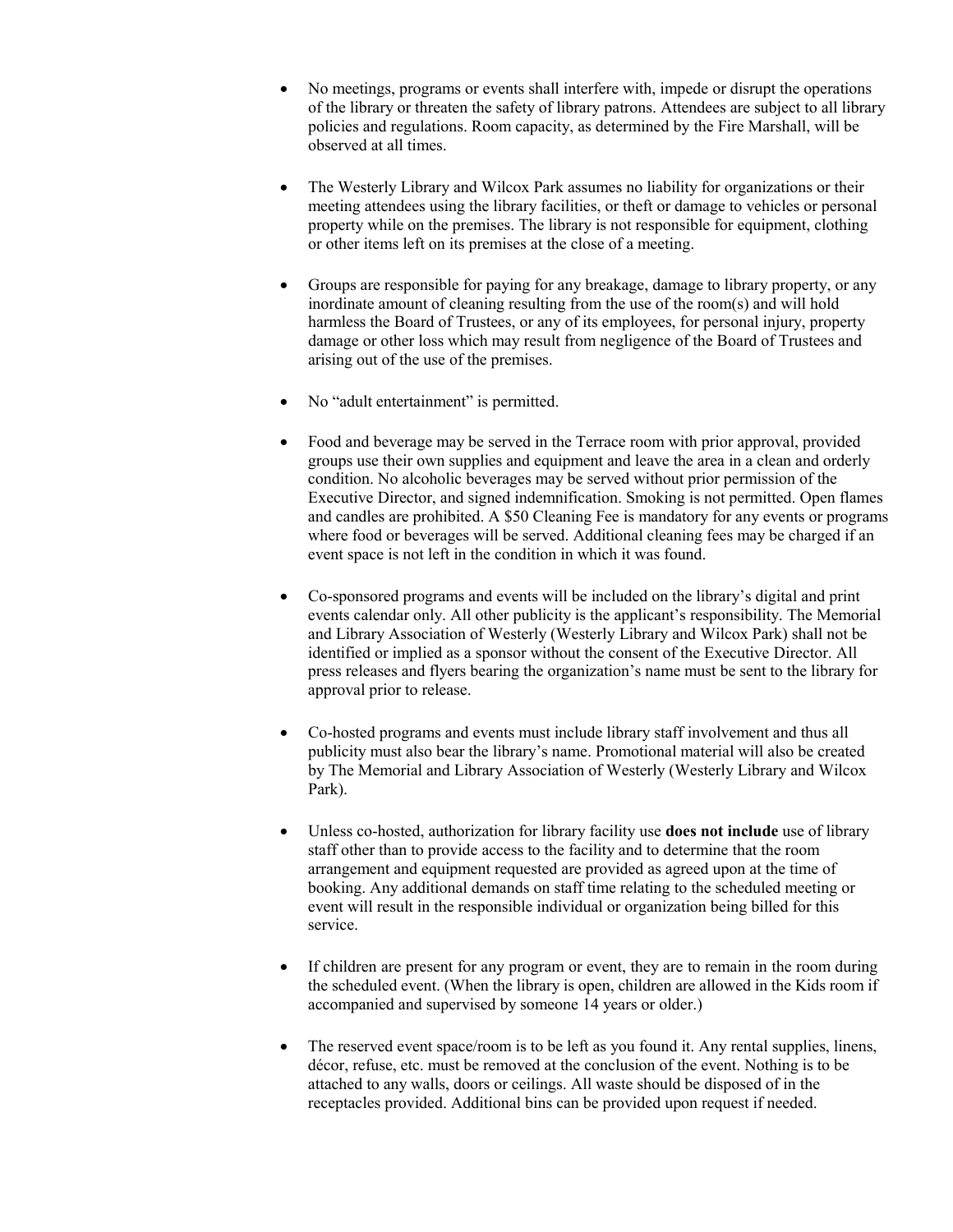- No meetings, programs or events shall interfere with, impede or disrupt the operations of the library or threaten the safety of library patrons. Attendees are subject to all library policies and regulations. Room capacity, as determined by the Fire Marshall, will be observed at all times.
- The Westerly Library and Wilcox Park assumes no liability for organizations or their meeting attendees using the library facilities, or theft or damage to vehicles or personal property while on the premises. The library is not responsible for equipment, clothing or other items left on its premises at the close of a meeting.
- Groups are responsible for paying for any breakage, damage to library property, or any inordinate amount of cleaning resulting from the use of the room(s) and will hold harmless the Board of Trustees, or any of its employees, for personal injury, property damage or other loss which may result from negligence of the Board of Trustees and arising out of the use of the premises.
- No "adult entertainment" is permitted.
- Food and beverage may be served in the Terrace room with prior approval, provided groups use their own supplies and equipment and leave the area in a clean and orderly condition. No alcoholic beverages may be served without prior permission of the Executive Director, and signed indemnification. Smoking is not permitted. Open flames and candles are prohibited. A \$50 Cleaning Fee is mandatory for any events or programs where food or beverages will be served. Additional cleaning fees may be charged if an event space is not left in the condition in which it was found.
- Co-sponsored programs and events will be included on the library's digital and print events calendar only. All other publicity is the applicant's responsibility. The Memorial and Library Association of Westerly (Westerly Library and Wilcox Park) shall not be identified or implied as a sponsor without the consent of the Executive Director. All press releases and flyers bearing the organization's name must be sent to the library for approval prior to release.
- Co-hosted programs and events must include library staff involvement and thus all publicity must also bear the library's name. Promotional material will also be created by The Memorial and Library Association of Westerly (Westerly Library and Wilcox Park).
- Unless co-hosted, authorization for library facility use **does not include** use of library staff other than to provide access to the facility and to determine that the room arrangement and equipment requested are provided as agreed upon at the time of booking. Any additional demands on staff time relating to the scheduled meeting or event will result in the responsible individual or organization being billed for this service.
- If children are present for any program or event, they are to remain in the room during the scheduled event. (When the library is open, children are allowed in the Kids room if accompanied and supervised by someone 14 years or older.)
- The reserved event space/room is to be left as you found it. Any rental supplies, linens, décor, refuse, etc. must be removed at the conclusion of the event. Nothing is to be attached to any walls, doors or ceilings. All waste should be disposed of in the receptacles provided. Additional bins can be provided upon request if needed.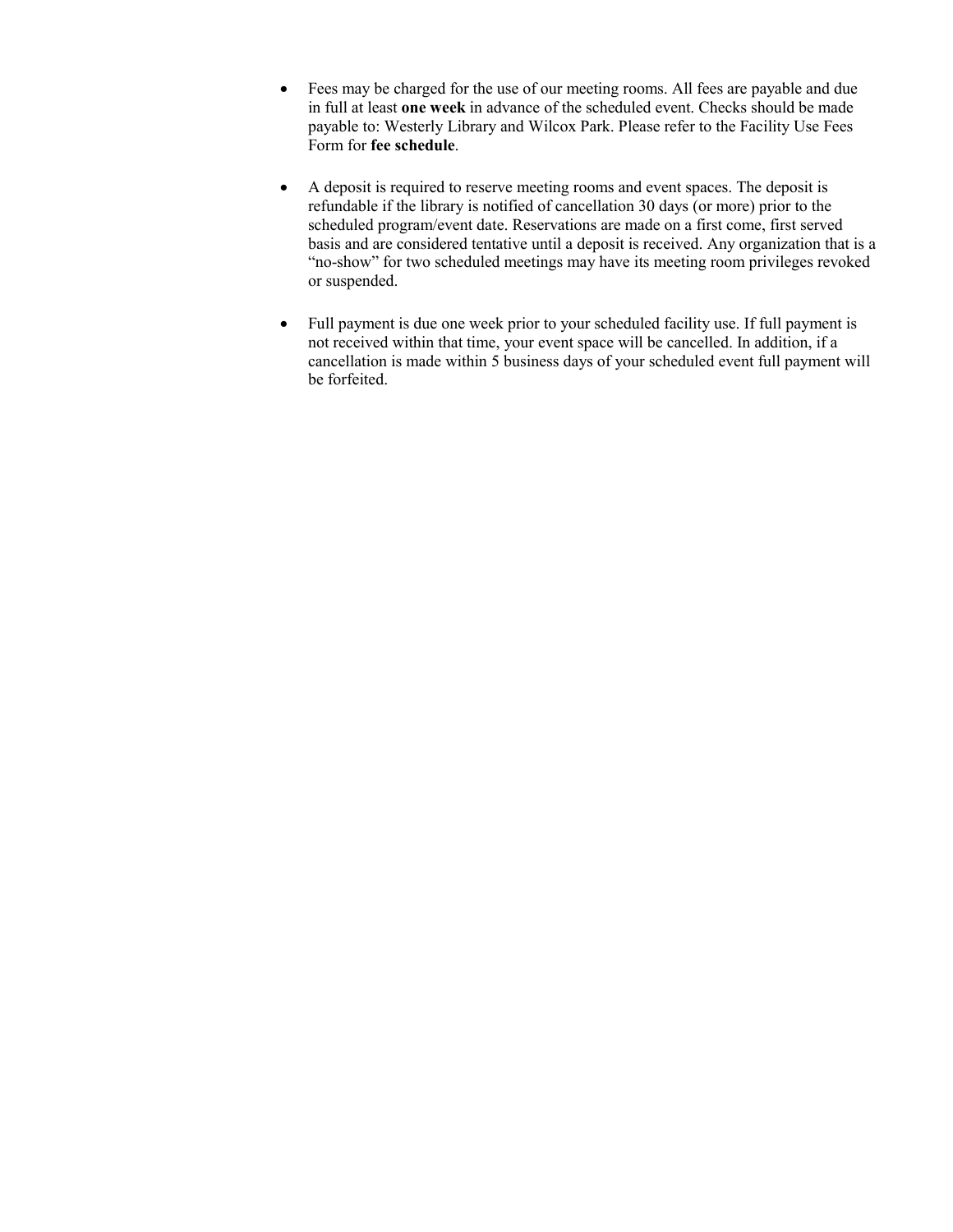- Fees may be charged for the use of our meeting rooms. All fees are payable and due in full at least **one week** in advance of the scheduled event. Checks should be made payable to: Westerly Library and Wilcox Park. Please refer to the Facility Use Fees Form for **fee schedule**.
- A deposit is required to reserve meeting rooms and event spaces. The deposit is refundable if the library is notified of cancellation 30 days (or more) prior to the scheduled program/event date. Reservations are made on a first come, first served basis and are considered tentative until a deposit is received. Any organization that is a "no-show" for two scheduled meetings may have its meeting room privileges revoked or suspended.
- Full payment is due one week prior to your scheduled facility use. If full payment is not received within that time, your event space will be cancelled. In addition, if a cancellation is made within 5 business days of your scheduled event full payment will be forfeited.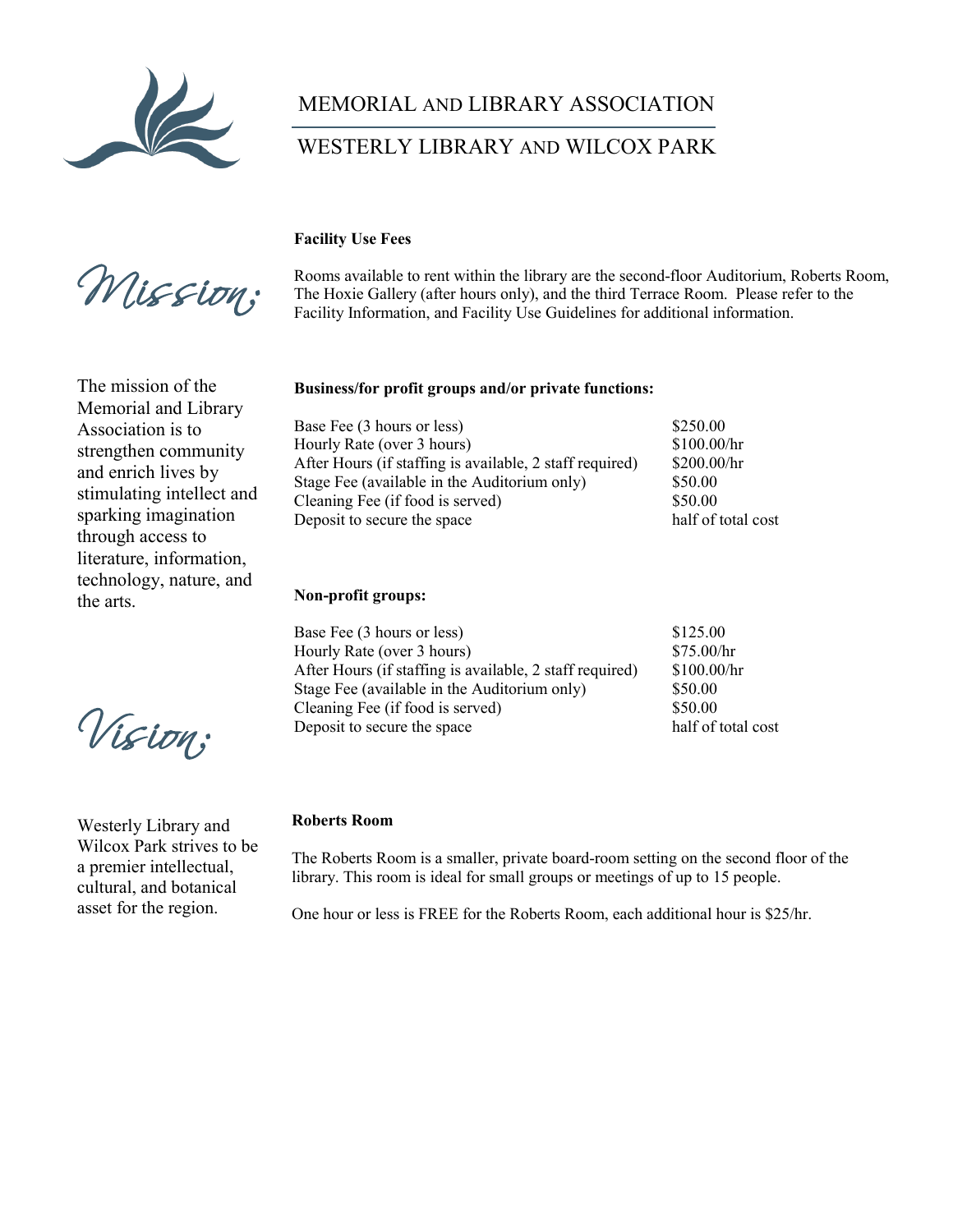

Mission:

The mission of the Memorial and Library Association is to strengthen community and enrich lives by stimulating intellect and sparking imagination through access to literature, information, technology, nature, and the arts.

Vision:

Westerly Library and Wilcox Park strives to be a premier intellectual, cultural, and botanical asset for the region.

# MEMORIAL AND LIBRARY ASSOCIATION WESTERLY LIBRARY AND WILCOX PARK

#### **Facility Use Fees**

Rooms available to rent within the library are the second-floor Auditorium, Roberts Room, The Hoxie Gallery (after hours only), and the third Terrace Room. Please refer to the Facility Information, and Facility Use Guidelines for additional information.

#### **Business/for profit groups and/or private functions:**

| Base Fee (3 hours or less)                               | \$250.00           |
|----------------------------------------------------------|--------------------|
| Hourly Rate (over 3 hours)                               | \$100.00/hr        |
| After Hours (if staffing is available, 2 staff required) | \$200.00/hr        |
| Stage Fee (available in the Auditorium only)             | \$50.00            |
| Cleaning Fee (if food is served)                         | \$50.00            |
| Deposit to secure the space                              | half of total cost |

#### **Non-profit groups:**

| Base Fee (3 hours or less)                               | \$125.00           |
|----------------------------------------------------------|--------------------|
| Hourly Rate (over 3 hours)                               | \$75.00/hr         |
| After Hours (if staffing is available, 2 staff required) | \$100.00/hr        |
| Stage Fee (available in the Auditorium only)             | \$50.00            |
| Cleaning Fee (if food is served)                         | \$50.00            |
| Deposit to secure the space                              | half of total cost |

#### **Roberts Room**

The Roberts Room is a smaller, private board-room setting on the second floor of the library. This room is ideal for small groups or meetings of up to 15 people.

One hour or less is FREE for the Roberts Room, each additional hour is \$25/hr.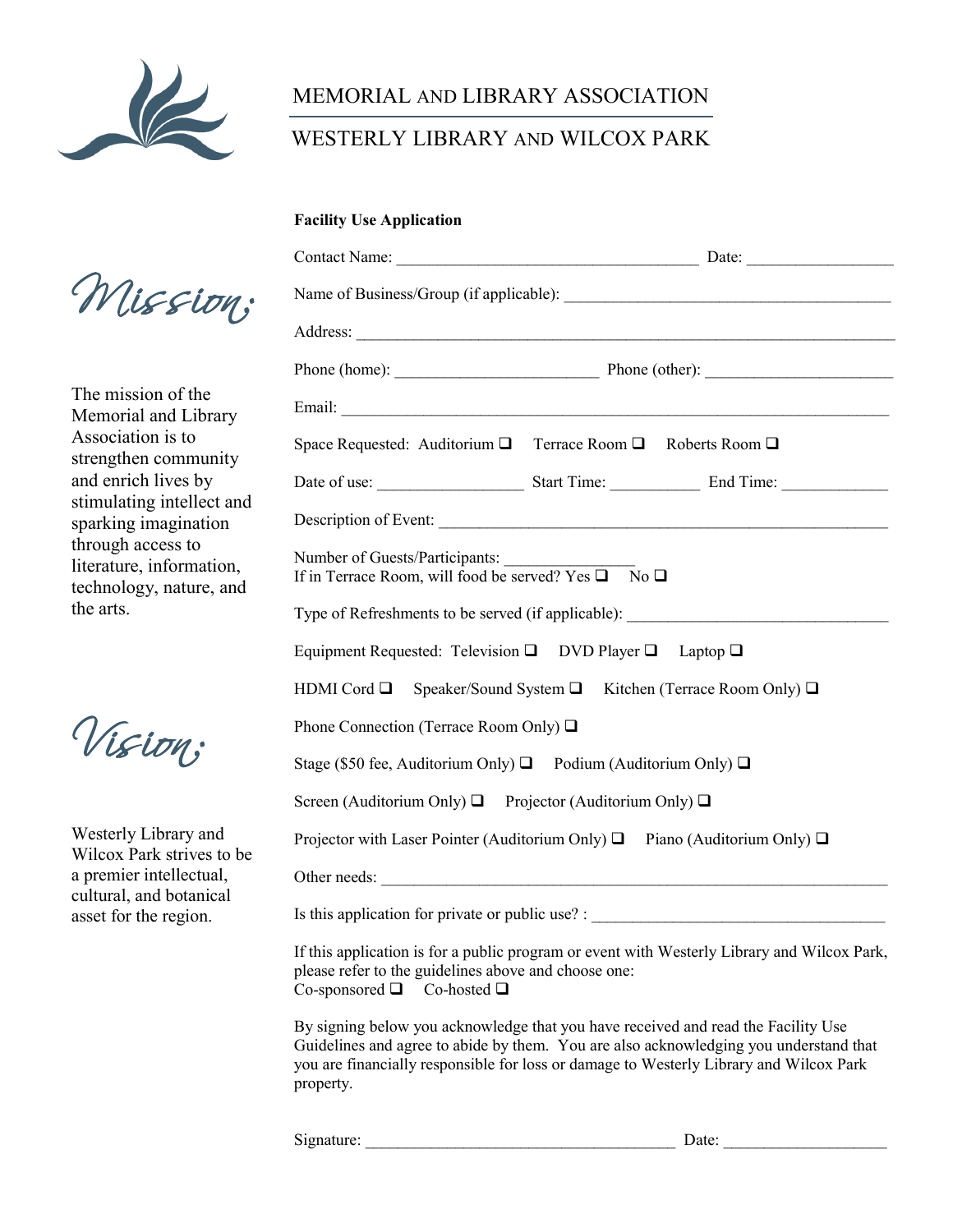

Mission:

The mission of the Memorial and Library Association is to strengthen community and enrich lives by stimulating intellect and sparking imagination through access to literature, information, technology, nature, and the arts.

Vision:

Westerly Library and Wilcox Park strives to be a premier intellectual, cultural, and botanical asset for the region.

## MEMORIAL AND LIBRARY ASSOCIATION

## WESTERLY LIBRARY AND WILCOX PARK

#### **Facility Use Application**

| Date:                                                                                                                                                                                                                                                                |  |  |
|----------------------------------------------------------------------------------------------------------------------------------------------------------------------------------------------------------------------------------------------------------------------|--|--|
|                                                                                                                                                                                                                                                                      |  |  |
|                                                                                                                                                                                                                                                                      |  |  |
| Phone (home): Phone (other): Phone (other):                                                                                                                                                                                                                          |  |  |
|                                                                                                                                                                                                                                                                      |  |  |
| Space Requested: Auditorium □ Terrace Room □ Roberts Room □                                                                                                                                                                                                          |  |  |
|                                                                                                                                                                                                                                                                      |  |  |
|                                                                                                                                                                                                                                                                      |  |  |
| Number of Guests/Participants:<br>If in Terrace Room, will food be served? Yes $\Box$ No $\Box$                                                                                                                                                                      |  |  |
| Type of Refreshments to be served (if applicable): _____________________________                                                                                                                                                                                     |  |  |
| Equipment Requested: Television $\Box$ DVD Player $\Box$ Laptop $\Box$                                                                                                                                                                                               |  |  |
| HDMI Cord □ Speaker/Sound System □ Kitchen (Terrace Room Only) □                                                                                                                                                                                                     |  |  |
| Phone Connection (Terrace Room Only) $\Box$                                                                                                                                                                                                                          |  |  |
| Stage (\$50 fee, Auditorium Only) $\Box$ Podium (Auditorium Only) $\Box$                                                                                                                                                                                             |  |  |
| Screen (Auditorium Only) $\Box$ Projector (Auditorium Only) $\Box$                                                                                                                                                                                                   |  |  |
| Projector with Laser Pointer (Auditorium Only) $\Box$ Piano (Auditorium Only) $\Box$                                                                                                                                                                                 |  |  |
|                                                                                                                                                                                                                                                                      |  |  |
| Is this application for private or public use? : _______________________________                                                                                                                                                                                     |  |  |
| If this application is for a public program or event with Westerly Library and Wilcox Park,<br>please refer to the guidelines above and choose one:<br>Co-sponsored $\square$<br>Co-hosted $\square$                                                                 |  |  |
| By signing below you acknowledge that you have received and read the Facility Use<br>Guidelines and agree to abide by them. You are also acknowledging you understand that<br>you are financially responsible for loss or damage to Westerly Library and Wilcox Park |  |  |

Signature: \_\_\_\_\_\_\_\_\_\_\_\_\_\_\_\_\_\_\_\_\_\_\_\_\_\_\_\_\_\_\_\_\_\_\_\_\_\_ Date: \_\_\_\_\_\_\_\_\_\_\_\_\_\_\_\_\_\_\_\_

property.